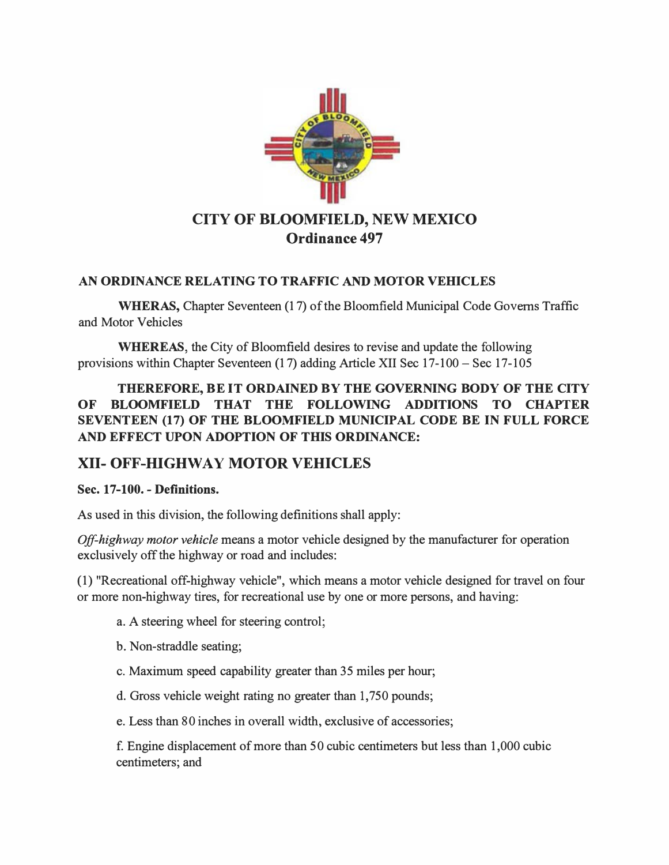

## AN ORDINANCE RELATING TO TRAFFIC AND MOTOR VEHICLES

WHERAS, Chapter Seventeen (17) of the Bloomfield Municipal Code Governs Traffic and Motor Vehicles

WHEREAS, the City of Bloomfield desires to revise and update the following provisions within Chapter Seventeen (17) adding Article XII Sec 17- 100 - Sec 17- 105

THEREFORE, BE IT ORDAINED BY THE GOVERNING BODY OF THE CITY OF BLOOMFIELD THAT THE FOLLOWING ADDITIONS TO CHAPTER SEVENTEEN (17) OF THE BLOOMFIELD MUNICIPAL CODE BE IN FULL FORCE AND EFFECT UPON ADOPTION OF THIS ORDINANCE:

# XII- OFF-HIGHWAY MOTOR VEHICLES

## Sec. 17-100. - Definitions.

As used in this division, the following definitions shall apply:

Off-highway motor vehicle means a motor vehicle designed by the manufacturer for operation exclusively off the highway or road and includes:

(1) "Recreational off-highway vehicle", which means a motor vehicle designed for travel on four or more non-highway tires, for recreational use by one or more persons, and having:

- a. A steering wheel for steering control;
- b. Non-straddle seating;
- c. Maximum speed capability greater than 35 miles per hour;
- d. Gross vehicle weight rating no greater than 1,750 pounds;
- e. Less than 80 inches in overall width, exclusive of accessories;

f. Engine displacement of more than 50 cubic centimeters but less than 1,000 cubic centimeters; and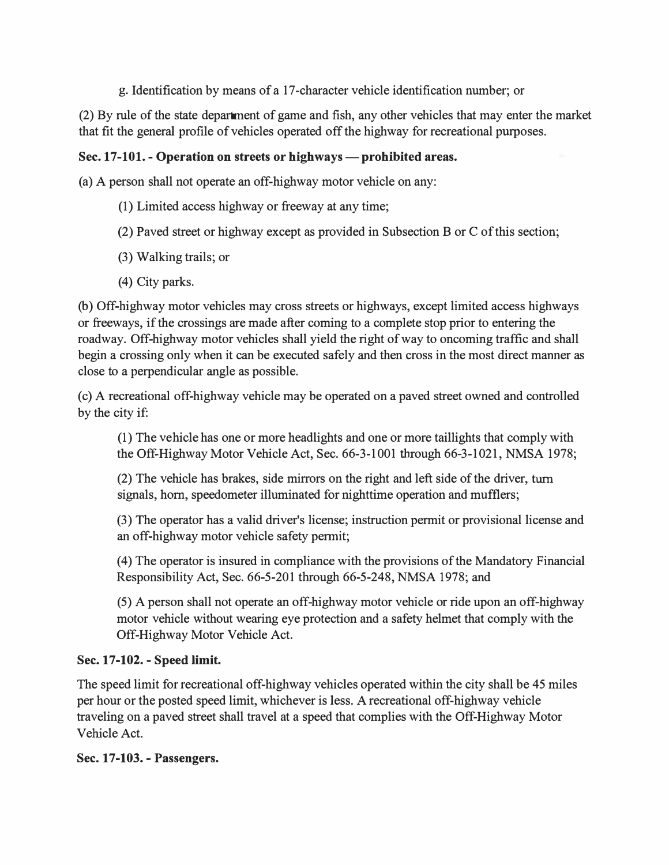g. Identification by means of a 17-character vehicle identification number; or

(2) By rule of the state department of game and fish, any other vehicles that may enter the market that fit the general profile of vehicles operated off the highway for recreational purposes.

## Sec. 17-101. - Operation on streets or highways — prohibited areas.

(a) A person shall not operate an off-highway motor vehicle on any:

- (1) Limited access highway or freeway at any time;
- (2) Paved street or highway except as provided in Subsection B or C of this section;
- (3) Walking trails; or
- (4) City parks.

(b) Off-highway motor vehicles may cross streets or highways, except limited access highways or freeways, if the crossings are made after coming to a complete stop prior to entering the roadway. Off-highway motor vehicles shall yield the right of way to oncoming traffic and shall begin a crossing only when it can be executed safely and then cross in the most direct manner as close to a perpendicular angle as possible.

( c) A recreational off-highway vehicle may be operated on a paved street owned and controlled by the city if:

(1) The vehicle has one or more headlights and one or more taillights that comply with the Off-Highway Motor Vehicle Act, Sec. 66-3-1001 through 66-3-1 021, NMSA 1978;

(2) The vehicle has brakes, side mirrors on the right and left side of the driver, turn signals, horn, speedometer illuminated for nighttime operation and mufflers;

(3) The operator has a valid driver's license; instruction permit or provisional license and an off-highway motor vehicle safety permit;

( 4) The operator is insured in compliance with the provisions of the Mandatory Financial Responsibility Act, Sec. 66-5-201 through 66-5-248, NMSA 1978; and

(5) A person shall not operate an off-highway motor vehicle or ride upon an off-highway motor vehicle without wearing eye protection and a safety helmet that comply with the Off-Highway Motor Vehicle Act.

#### Sec. 17-102. - Speed limit.

The speed limit for recreational off-highway vehicles operated within the city shall be 45 miles per hour or the posted speed limit, whichever is less. A recreational off-highway vehicle traveling on a paved street shall travel at a speed that complies with the Off-Highway Motor Vehicle Act.

#### Sec. 17-103. - Passengers.